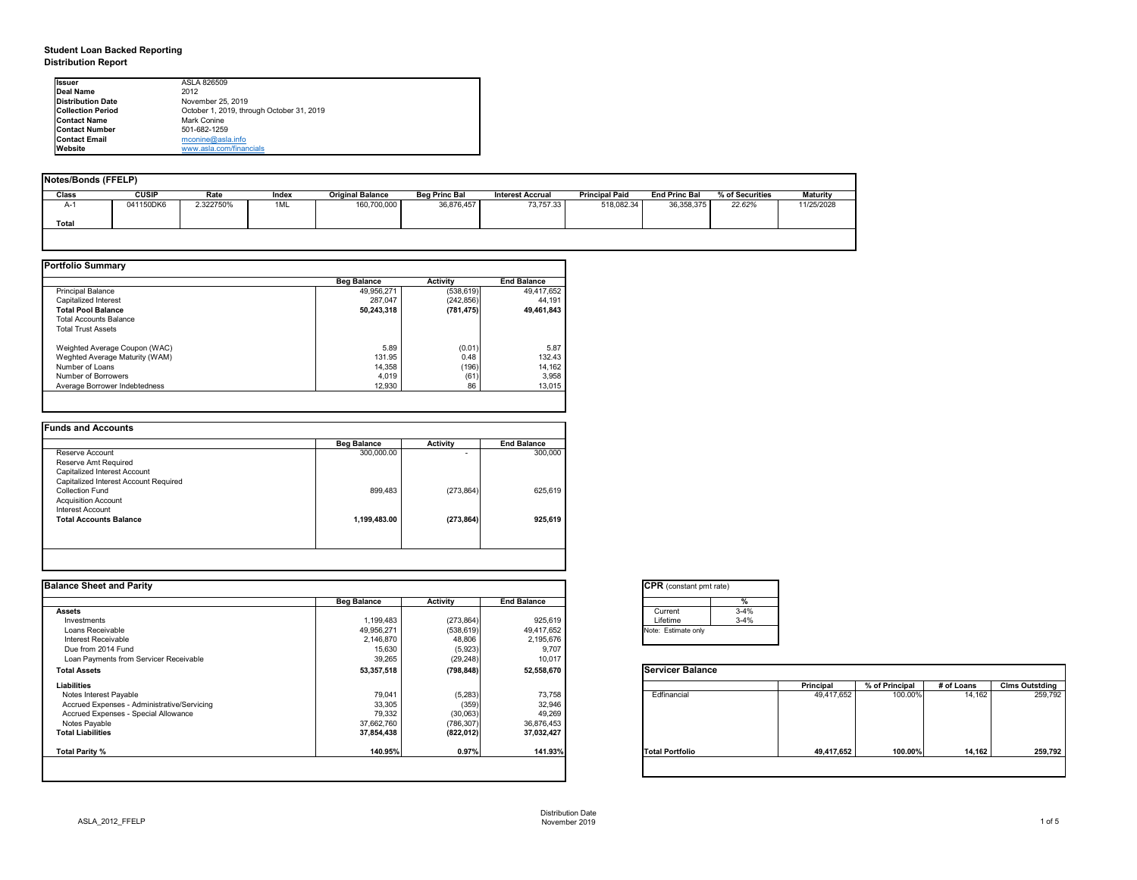# **Student Loan Backed Reporting Distribution Report**

| <b>Notes/Bonds (FFELP)</b> |              |           |       |                         |                      |                         |                       |                      |                 |                 |
|----------------------------|--------------|-----------|-------|-------------------------|----------------------|-------------------------|-----------------------|----------------------|-----------------|-----------------|
| <b>Class</b>               | <b>CUSIP</b> | Rate      | Index | <b>Original Balance</b> | <b>Beg Princ Bal</b> | <b>Interest Accrual</b> | <b>Principal Paid</b> | <b>End Princ Bal</b> | % of Securities | <b>Maturity</b> |
| A-1                        | 041150DK6    | 2.322750% | 1ML   | 160,700,000             | 36,876,457           | 73,757.33               | 518,082.34            | 36,358,375           | 22.62%          | 11/25/2028      |
| <b>Total</b>               |              |           |       |                         |                      |                         |                       |                      |                 |                 |
|                            |              |           |       |                         |                      |                         |                       |                      |                 |                 |

|                                | <b>Beg Balance</b> | <b>Activity</b> | <b>End Balance</b> |
|--------------------------------|--------------------|-----------------|--------------------|
| <b>Principal Balance</b>       | 49,956,271         | (538, 619)      | 49,417,652         |
| Capitalized Interest           | 287,047            | (242, 856)      | 44,191             |
| <b>Total Pool Balance</b>      | 50,243,318         | (781, 475)      | 49,461,843         |
| <b>Total Accounts Balance</b>  |                    |                 |                    |
| <b>Total Trust Assets</b>      |                    |                 |                    |
| Weighted Average Coupon (WAC)  | 5.89               | (0.01)          | 5.87               |
| Weghted Average Maturity (WAM) | 131.95             | 0.48            | 132.43             |
| Number of Loans                | 14,358             | (196)           | 14,162             |
| Number of Borrowers            | 4,019              | (61)            | 3,958              |
| Average Borrower Indebtedness  | 12,930             | 86              | 13,015             |

| <b>Beg Balance</b> | <b>Activity</b> | <b>End Balance</b> |
|--------------------|-----------------|--------------------|
| 300,000.00         | ۰               | 300,000            |
|                    |                 |                    |
|                    |                 |                    |
|                    |                 |                    |
| 899,483            | (273, 864)      | 625,619            |
|                    |                 |                    |
|                    |                 |                    |
| 1,199,483.00       | (273, 864)      | 925,619            |
|                    |                 |                    |
|                    |                 |                    |

| tant pmt rate) |          |
|----------------|----------|
|                | $\%$     |
|                | $3 - 4%$ |
|                | $3 - 4%$ |
| te only        |          |
|                |          |

|      | <b>Principal</b> | % of Principal | # of Loans | <b>Clms Outstding</b> |
|------|------------------|----------------|------------|-----------------------|
| al   | 49,417,652       | 100.00%        | 14,162     | 259,792               |
| oilc | 49,417,652       | 100.00%        | 14,162     | 259,792               |

| <b>Ilssuer</b>           | ASLA 826509                               |
|--------------------------|-------------------------------------------|
| Deal Name                | 2012                                      |
| Distribution Date        | November 25, 2019                         |
| <b>Collection Period</b> | October 1, 2019, through October 31, 2019 |
| <b>Contact Name</b>      | Mark Conine                               |
| <b>Contact Number</b>    | 501-682-1259                              |
| <b>Contact Email</b>     | $m$ conine@asla.info                      |
| <b>IWebsite</b>          | www.asla.com/financials                   |

|                    |                 |                                         | <b>CPR</b> (constant pmt rate) |                  |                |            |                       |
|--------------------|-----------------|-----------------------------------------|--------------------------------|------------------|----------------|------------|-----------------------|
| <b>Beg Balance</b> | <b>Activity</b> | <b>End Balance</b>                      | %                              |                  |                |            |                       |
|                    |                 |                                         | $3-4%$<br>Current              |                  |                |            |                       |
| 1,199,483          | (273, 864)      | 925,619                                 | $3-4%$<br>Lifetime             |                  |                |            |                       |
| 49,956,271         | (538, 619)      | 49,417,652                              | Note: Estimate only            |                  |                |            |                       |
| 2,146,870          | 48,806          | 2,195,676                               |                                |                  |                |            |                       |
| 15,630             |                 | 9,707                                   |                                |                  |                |            |                       |
| 39,265             | (29, 248)       | 10,017                                  |                                |                  |                |            |                       |
| 53,357,518         | (798, 848)      | 52,558,670                              | <b>Servicer Balance</b>        |                  |                |            |                       |
|                    |                 |                                         |                                | <b>Principal</b> | % of Principal | # of Loans | <b>Clms Outstding</b> |
| 79,041             |                 | 73,758                                  | Edfinancial                    | 49,417,652       | 100.00%        | 14,162     | 259,792               |
| 33,305             |                 | 32,946                                  |                                |                  |                |            |                       |
| 79,332             |                 | 49,269                                  |                                |                  |                |            |                       |
| 37,662,760         | (786, 307)      | 36,876,453                              |                                |                  |                |            |                       |
| 37,854,438         | (822, 012)      | 37,032,427                              |                                |                  |                |            |                       |
| 140.95%            | 0.97%           | 141.93%                                 | <b>Total Portfolio</b>         | 49,417,652       | 100.00%        | 14,162     | 259,792               |
|                    |                 | (5,923)<br>(5,283)<br>(359)<br>(30,063) |                                |                  |                |            |                       |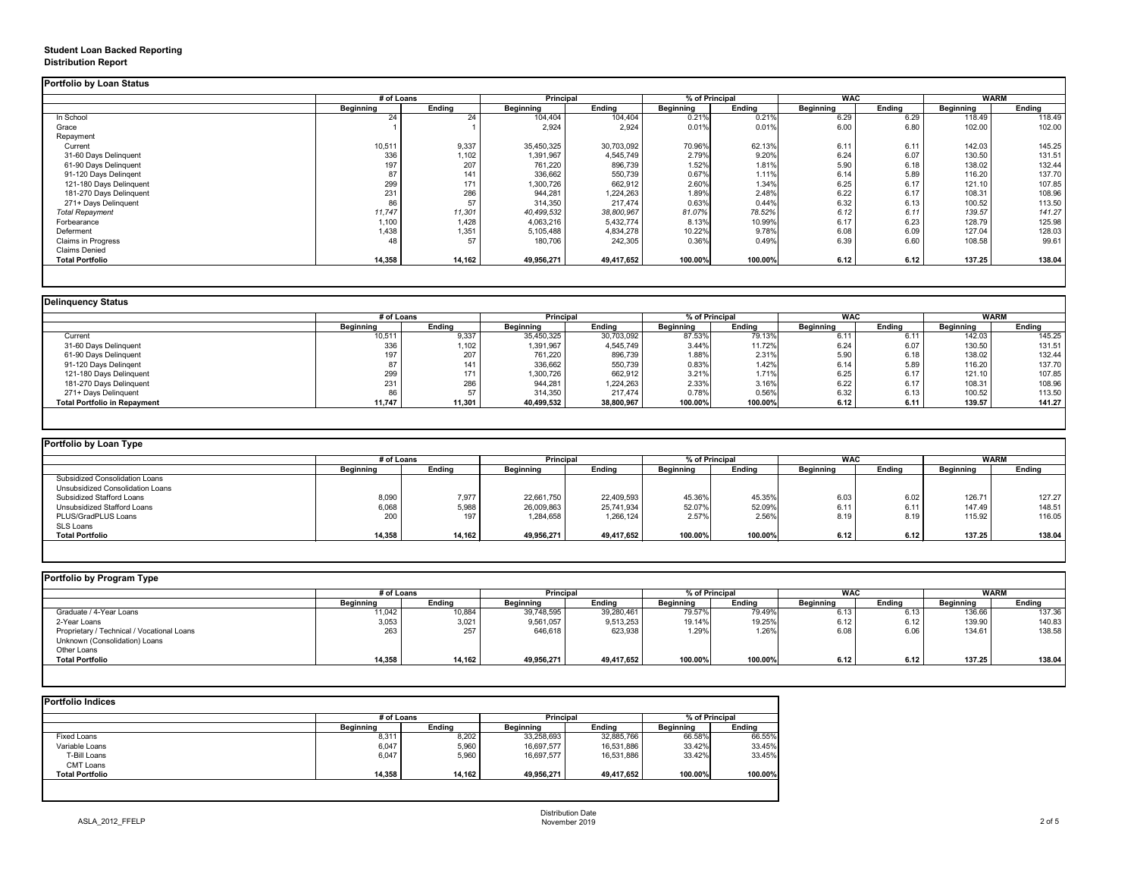# **Student Loan Backed Reporting Distribution Report**

## **Delinquency Status**

|                         | # of Loans       |               | <b>Principal</b> |               | % of Principal   |               | <b>WAC</b>       |               | <b>WARM</b>      |               |
|-------------------------|------------------|---------------|------------------|---------------|------------------|---------------|------------------|---------------|------------------|---------------|
|                         | <b>Beginning</b> | <b>Ending</b> | <b>Beginning</b> | <b>Ending</b> | <b>Beginning</b> | <b>Ending</b> | <b>Beginning</b> | <b>Ending</b> | <b>Beginning</b> | <b>Ending</b> |
| In School               | 24               | 24            | 104,404          | 104,404       | 0.21%            | 0.21%         | 6.29             | 6.29          | 118.49           | 118.49        |
| Grace                   |                  |               | 2,924            | 2,924         | 0.01%            | 0.01%         | 6.00             | 6.80          | 102.00           | 102.00        |
| Repayment               |                  |               |                  |               |                  |               |                  |               |                  |               |
| Current                 | 10,511           | 9,337         | 35,450,325       | 30,703,092    | 70.96%           | 62.13%        | 6.11             | 6.11          | 142.03           | 145.25        |
| 31-60 Days Delinquent   | 336              | 1,102         | 1,391,967        | 4,545,749     | 2.79%            | 9.20%         | 6.24             | 6.07          | 130.50           | 131.51        |
| 61-90 Days Delinquent   | 197              | 207           | 761,220          | 896,739       | 1.52%            | 1.81%         | 5.90             | 6.18          | 138.02           | 132.44        |
| 91-120 Days Delingent   | 87               | 141           | 336,662          | 550,739       | 0.67%            | 1.11%         | 6.14             | 5.89          | 116.20           | 137.70        |
| 121-180 Days Delinquent | 299              | 171           | 1,300,726        | 662,912       | 2.60%            | 1.34%         | 6.25             | 6.17          | 121.10           | 107.85        |
| 181-270 Days Delinquent | 231              | 286           | 944,281          | 1,224,263     | 1.89%            | 2.48%         | 6.22             | 6.17          | 108.31           | 108.96        |
| 271+ Days Delinquent    | 86               | 57            | 314,350          | 217,474       | 0.63%            | 0.44%         | 6.32             | 6.13          | 100.52           | 113.50        |
| <b>Total Repayment</b>  | 11,747           | 11,301        | 40,499,532       | 38,800,967    | 81.07%           | 78.52%        | 6.12             | 6.11          | 139.57           | 141.27        |
| Forbearance             | 1,100            | 1,428         | 4,063,216        | 5,432,774     | 8.13%            | 10.99%        | 6.17             | 6.23          | 128.79           | 125.98        |
| Deferment               | 1,438            | 1,351         | 5,105,488        | 4,834,278     | 10.22%           | 9.78%         | 6.08             | 6.09          | 127.04           | 128.03        |
| Claims in Progress      | 48               | 57            | 180,706          | 242,305       | 0.36%            | 0.49%         | 6.39             | 6.60          | 108.58           | 99.61         |
| <b>Claims Denied</b>    |                  |               |                  |               |                  |               |                  |               |                  |               |
| <b>Total Portfolio</b>  | 14,358           | 14,162        | 49,956,271       | 49,417,652    | 100.00%          | 100.00%       | 6.12             | 6.12          | 137.25           | 138.04        |

|                                     | # of Loans       |               | <b>Principal</b> |               | % of Principal   |               | <b>WAC</b>       |               | <b>WARM</b>      |               |
|-------------------------------------|------------------|---------------|------------------|---------------|------------------|---------------|------------------|---------------|------------------|---------------|
|                                     | <b>Beginning</b> | <b>Ending</b> | <b>Beginning</b> | <b>Ending</b> | <b>Beginning</b> | <b>Ending</b> | <b>Beginning</b> | <b>Ending</b> | <b>Beginning</b> | <b>Ending</b> |
| Current                             | 10,511           | 9,337         | 35,450,325       | 30,703,092    | 87.53%           | 79.13%        | 6.11             | 6.11          | 142.03           | 145.25        |
| 31-60 Days Delinquent               | 336              | ,102          | 1,391,967        | 4,545,749     | 3.44%            | 11.72%        | 6.24             | 6.07          | 130.50           | 131.51        |
| 61-90 Days Delinquent               | 197              | 207           | 761,220          | 896,739       | 1.88%            | 2.31%         | 5.90             | 6.18          | 138.02           | 132.44        |
| 91-120 Days Delingent               |                  | 141           | 336,662          | 550,739       | 0.83%            | 1.42%         | 6.14             | 5.89          | 116.20           | 137.70        |
| 121-180 Days Delinquent             | 299              | 171           | 1,300,726        | 662,912       | 3.21%            | 1.71%         | 6.25             | 6.17          | 121.10           | 107.85        |
| 181-270 Days Delinquent             | 231              | 286           | 944,281          | 1,224,263     | 2.33%            | 3.16%         | 6.22             | 6.17          | 108.31           | 108.96        |
| 271+ Days Delinquent                | OO.              | 57            | 314,350          | 217,474       | 0.78%            | 0.56%         | 6.32             | 6.13          | 100.52           | 113.50        |
| <b>Total Portfolio in Repayment</b> | 11,747           | 11,301        | 40,499,532       | 38,800,967    | 100.00%          | 100.00%       | 6.12             | 6.11          | 139.57           | 141.27        |

| <b>Portfolio by Loan Type</b>           |                  |               |                  |               |                  |               |                  |               |                  |               |
|-----------------------------------------|------------------|---------------|------------------|---------------|------------------|---------------|------------------|---------------|------------------|---------------|
|                                         | # of Loans       |               | <b>Principal</b> |               | % of Principal   |               | <b>WAC</b>       |               | <b>WARM</b>      |               |
|                                         | <b>Beginning</b> | <b>Ending</b> | <b>Beginning</b> | <b>Ending</b> | <b>Beginning</b> | <b>Ending</b> | <b>Beginning</b> | <b>Ending</b> | <b>Beginning</b> | <b>Ending</b> |
| <b>Subsidized Consolidation Loans</b>   |                  |               |                  |               |                  |               |                  |               |                  |               |
| <b>Unsubsidized Consolidation Loans</b> |                  |               |                  |               |                  |               |                  |               |                  |               |
| <b>Subsidized Stafford Loans</b>        | 8,090            | 7,977         | 22,661,750       | 22,409,593    | 45.36%           | 45.35%        | 6.03             | 6.02          | 126.7 $'$        | 127.27        |
| <b>Unsubsidized Stafford Loans</b>      | 6,068            | 5,988         | 26,009,863       | 25,741,934    | 52.07%           | 52.09%        | 6.11             | 6.11          | 147.49           | 148.51        |
| <b>PLUS/GradPLUS Loans</b>              | 200              | 197           | 1,284,658        | 1,266,124     | 2.57%            | 2.56%         | 8.19             | 8.19          | 115.92           | 116.05        |
| SLS Loans                               |                  |               |                  |               |                  |               |                  |               |                  |               |
| <b>Total Portfolio</b>                  | 14,358           | 14,162        | 49,956,271       | 49,417,652    | 100.00%          | 100.00%       | 6.12             | 6.12          | 137.25           | 138.04        |

|                                            |                  | # of Loans    |                  | <b>Principal</b> | % of Principal   |               | <b>WAC</b>       |               | <b>WARM</b>      |               |
|--------------------------------------------|------------------|---------------|------------------|------------------|------------------|---------------|------------------|---------------|------------------|---------------|
|                                            | <b>Beginning</b> | <b>Ending</b> | <b>Beginning</b> | <b>Ending</b>    | <b>Beginning</b> | <b>Ending</b> | <b>Beginning</b> | <b>Ending</b> | <b>Beginning</b> | <b>Ending</b> |
| Graduate / 4-Year Loans                    | 11,042           | 10,884        | 39,748,595       | 39,280,461       | 79.57%           | 79.49%        | 6.13             | 6.13          | 136.66           | 137.36        |
| 2-Year Loans                               | 3,053            | 3,021         | 9,561,057        | 9,513,253        | 19.14%           | 19.25%        | 6.12             | 6.12          | 139.90           | 140.83        |
| Proprietary / Technical / Vocational Loans | 263              | 257           | 646,618          | 623,938          | 1.29%            | 1.26%         | 6.08             | 6.06          | 134.61           | 138.58        |
| Unknown (Consolidation) Loans              |                  |               |                  |                  |                  |               |                  |               |                  |               |
| Other Loans                                |                  |               |                  |                  |                  |               |                  |               |                  |               |
| <b>Total Portfolio</b>                     | 14,358           | 14,162        | 49,956,271       | 49,417,652       | 100.00%          | 100.00%       | 6.12             | 6.12          | 137.25           | 138.04        |

|                        | # of Loans       |               | <b>Principal</b> |               | % of Principal   |               |  |
|------------------------|------------------|---------------|------------------|---------------|------------------|---------------|--|
|                        | <b>Beginning</b> | <b>Ending</b> | <b>Beginning</b> | <b>Ending</b> | <b>Beginning</b> | <b>Ending</b> |  |
| <b>Fixed Loans</b>     | 8,311            | 8,202         | 33,258,693       | 32,885,766    | 66.58%           | 66.55%        |  |
| Variable Loans         | 6,047            | 5,960         | 16,697,577       | 16,531,886    | 33.42%           | 33.45%        |  |
| T-Bill Loans           | 6,047            | 5,960         | 16,697,577       | 16,531,886    | 33.42%           | 33.45%        |  |
| <b>CMT Loans</b>       |                  |               |                  |               |                  |               |  |
| <b>Total Portfolio</b> | 14,358           | 14,162        | 49,956,271       | 49,417,652    | 100.00%          | 100.00%       |  |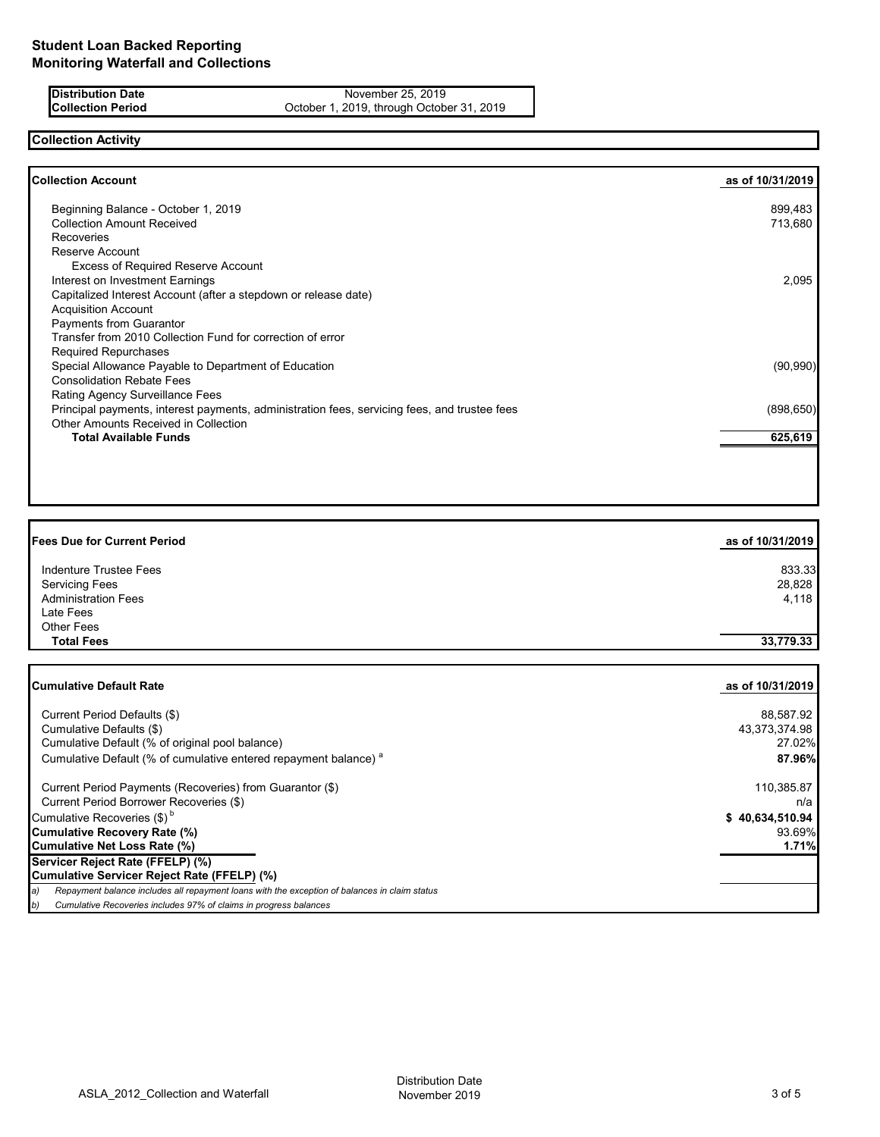### **Distribution Date** November 25, 2019<br> **Collection Period** Collection Certic Collection Deck November 1, 2019, through Octob October 1, 2019, through October 31, 2019

**Collection Activity**

| 899,483<br>713,680 |
|--------------------|
|                    |
|                    |
|                    |
|                    |
|                    |
| 2,095              |
|                    |
|                    |
|                    |
|                    |
|                    |
| (90, 990)          |
|                    |
|                    |
| (898, 650)         |
|                    |
| 625,619            |
|                    |

| <b>Fees Due for Current Period</b>                                                                  | as of 10/31/2019 |
|-----------------------------------------------------------------------------------------------------|------------------|
| Indenture Trustee Fees                                                                              | 833.33           |
| <b>Servicing Fees</b>                                                                               | 28,828           |
| <b>Administration Fees</b>                                                                          | 4,118            |
| Late Fees                                                                                           |                  |
| <b>Other Fees</b>                                                                                   |                  |
| <b>Total Fees</b>                                                                                   | 33,779.33        |
| <b>Cumulative Default Rate</b>                                                                      | as of 10/31/2019 |
|                                                                                                     |                  |
| Current Period Defaults (\$)                                                                        | 88,587.92        |
| Cumulative Defaults (\$)                                                                            | 43,373,374.98    |
| Cumulative Default (% of original pool balance)                                                     | 27.02%           |
| Cumulative Default (% of cumulative entered repayment balance) <sup>a</sup>                         | 87.96%           |
| Current Period Payments (Recoveries) from Guarantor (\$)                                            | 110,385.87       |
| Current Period Borrower Recoveries (\$)                                                             | n/a              |
| Cumulative Recoveries (\$) <sup>b</sup>                                                             | \$40,634,510.94  |
| <b>Cumulative Recovery Rate (%)</b>                                                                 | 93.69%           |
| <b>Cumulative Net Loss Rate (%)</b>                                                                 | 1.71%            |
| Servicer Reject Rate (FFELP) (%)                                                                    |                  |
| Cumulative Servicer Reject Rate (FFELP) (%)                                                         |                  |
| Repayment balance includes all repayment loans with the exception of balances in claim status<br>a) |                  |

*b) Cumulative Recoveries includes 97% of claims in progress balances*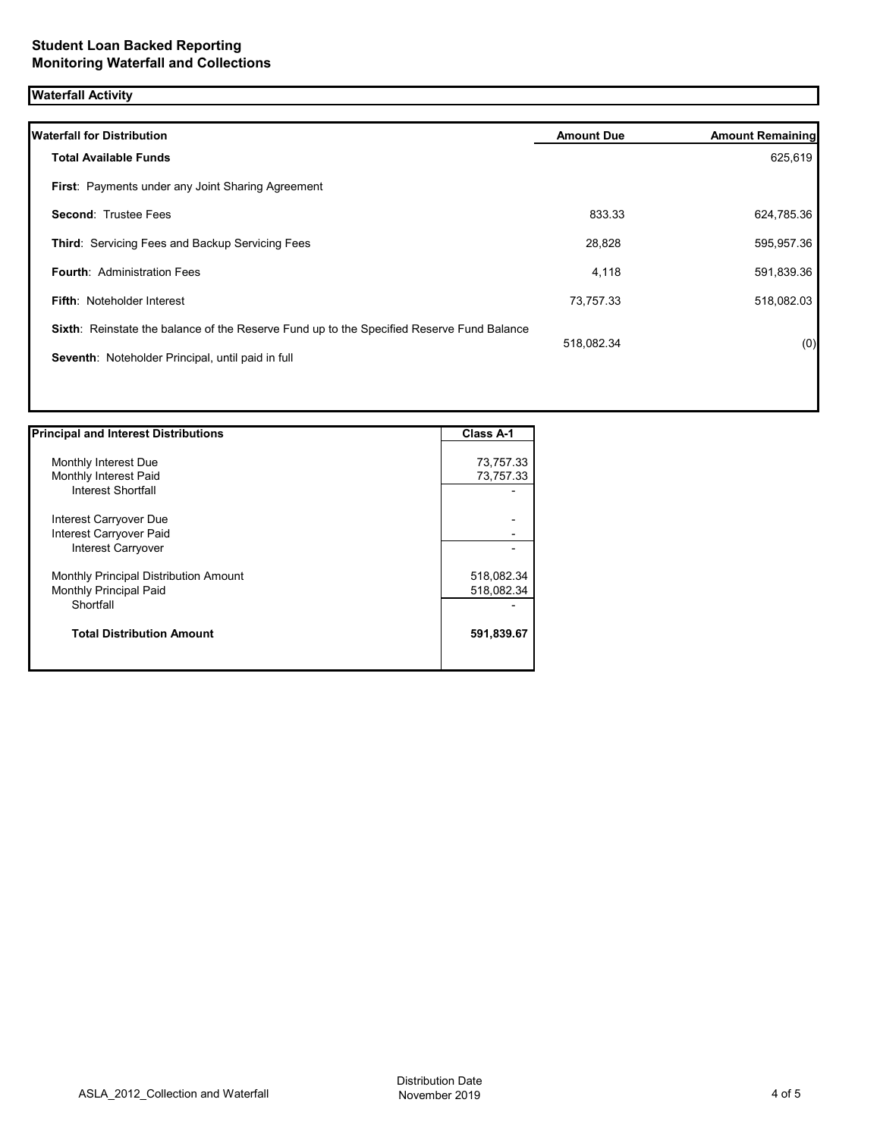# **Waterfall Activity**

| <b>Waterfall for Distribution</b>                                                         | <b>Amount Due</b> | <b>Amount Remaining</b> |
|-------------------------------------------------------------------------------------------|-------------------|-------------------------|
| <b>Total Available Funds</b>                                                              |                   | 625,619                 |
| First: Payments under any Joint Sharing Agreement                                         |                   |                         |
| <b>Second: Trustee Fees</b>                                                               | 833.33            | 624,785.36              |
| Third: Servicing Fees and Backup Servicing Fees                                           | 28,828            | 595,957.36              |
| <b>Fourth: Administration Fees</b>                                                        | 4,118             | 591,839.36              |
| <b>Fifth: Noteholder Interest</b>                                                         | 73,757.33         | 518,082.03              |
| Sixth: Reinstate the balance of the Reserve Fund up to the Specified Reserve Fund Balance | 518,082.34        | (0)                     |
| Seventh: Noteholder Principal, until paid in full                                         |                   |                         |
|                                                                                           |                   |                         |

| <b>Principal and Interest Distributions</b> | <b>Class A-1</b> |
|---------------------------------------------|------------------|
|                                             |                  |
| Monthly Interest Due                        | 73,757.33        |
| Monthly Interest Paid                       | 73,757.33        |
| Interest Shortfall                          |                  |
| Interest Carryover Due                      |                  |
| Interest Carryover Paid                     |                  |
| Interest Carryover                          |                  |
| Monthly Principal Distribution Amount       | 518,082.34       |
| Monthly Principal Paid                      | 518,082.34       |
| Shortfall                                   |                  |
| <b>Total Distribution Amount</b>            | 591,839.67       |
|                                             |                  |

1